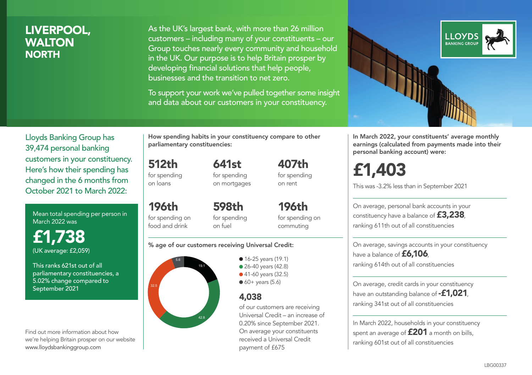### LIVERPOOL, WALTON **NORTH**

As the UK's largest bank, with more than 26 million customers – including many of your constituents – our Group touches nearly every community and household in the UK. Our purpose is to help Britain prosper by developing financial solutions that help people, businesses and the transition to net zero.

To support your work we've pulled together some insight and data about our customers in your constituency.



In March 2022, your constituents' average monthly earnings (calculated from payments made into their personal banking account) were:

# £1,403

This was -3.2% less than in September 2021

On average, personal bank accounts in your constituency have a balance of £3,238, ranking 611th out of all constituencies

On average, savings accounts in your constituency have a balance of **£6,106** ranking 614th out of all constituencies

On average, credit cards in your constituency have an outstanding balance of **-£1,021**, ranking 341st out of all constituencies

In March 2022, households in your constituency spent an average of **£201** a month on bills, ranking 601st out of all constituencies

Lloyds Banking Group has 39,474 personal banking customers in your constituency. Here's how their spending has changed in the 6 months from October 2021 to March 2022:

Mean total spending per person in March 2022 was

£1,738 (UK average: £2,059)

This ranks 621st out of all parliamentary constituencies, a 5.02% change compared to September 2021

Find out more information about how we're helping Britain prosper on our website www.lloydsbankinggroup.com

How spending habits in your constituency compare to other parliamentary constituencies:

> 641st for spending

512th for spending on loans

196th

on mortgages

for spending on food and drink 598th for spending on fuel

for spending on commuting

196th

407th for spending on rent

#### % age of our customers receiving Universal Credit:



• 16-25 years (19.1) • 26-40 years (42.8) ● 41-60 years (32.5)  $60+$  years (5.6)

### 4,038

of our customers are receiving Universal Credit – an increase of 0.20% since September 2021. On average your constituents received a Universal Credit payment of £675